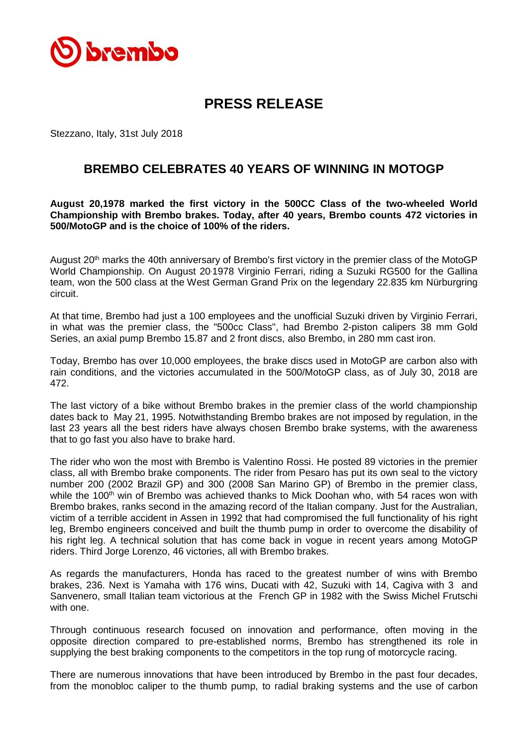

## **PRESS RELEASE**

Stezzano, Italy, 31st July 2018

## **BREMBO CELEBRATES 40 YEARS OF WINNING IN MOTOGP**

**August 20,1978 marked the first victory in the 500CC Class of the two-wheeled World Championship with Brembo brakes. Today, after 40 years, Brembo counts 472 victories in 500/MotoGP and is the choice of 100% of the riders.**

August 20<sup>th</sup> marks the 40th anniversary of Brembo's first victory in the premier class of the MotoGP World Championship. On August 20,1978 Virginio Ferrari, riding a Suzuki RG500 for the Gallina team, won the 500 class at the West German Grand Prix on the legendary 22.835 km Nürburgring circuit.

At that time, Brembo had just a 100 employees and the unofficial Suzuki driven by Virginio Ferrari, in what was the premier class, the "500cc Class", had Brembo 2-piston calipers 38 mm Gold Series, an axial pump Brembo 15.87 and 2 front discs, also Brembo, in 280 mm cast iron.

Today, Brembo has over 10,000 employees, the brake discs used in MotoGP are carbon also with rain conditions, and the victories accumulated in the 500/MotoGP class, as of July 30, 2018 are 472.

The last victory of a bike without Brembo brakes in the premier class of the world championship dates back to May 21, 1995. Notwithstanding Brembo brakes are not imposed by regulation, in the last 23 years all the best riders have always chosen Brembo brake systems, with the awareness that to go fast you also have to brake hard.

The rider who won the most with Brembo is Valentino Rossi. He posted 89 victories in the premier class, all with Brembo brake components. The rider from Pesaro has put its own seal to the victory number 200 (2002 Brazil GP) and 300 (2008 San Marino GP) of Brembo in the premier class, while the 100<sup>th</sup> win of Brembo was achieved thanks to Mick Doohan who, with 54 races won with Brembo brakes, ranks second in the amazing record of the Italian company. Just for the Australian, victim of a terrible accident in Assen in 1992 that had compromised the full functionality of his right leg, Brembo engineers conceived and built the thumb pump in order to overcome the disability of his right leg. A technical solution that has come back in vogue in recent years among MotoGP riders. Third Jorge Lorenzo, 46 victories, all with Brembo brakes.

As regards the manufacturers, Honda has raced to the greatest number of wins with Brembo brakes, 236. Next is Yamaha with 176 wins, Ducati with 42, Suzuki with 14, Cagiva with 3 and Sanvenero, small Italian team victorious at the French GP in 1982 with the Swiss Michel Frutschi with one.

Through continuous research focused on innovation and performance, often moving in the opposite direction compared to pre-established norms, Brembo has strengthened its role in supplying the best braking components to the competitors in the top rung of motorcycle racing.

There are numerous innovations that have been introduced by Brembo in the past four decades, from the monobloc caliper to the thumb pump, to radial braking systems and the use of carbon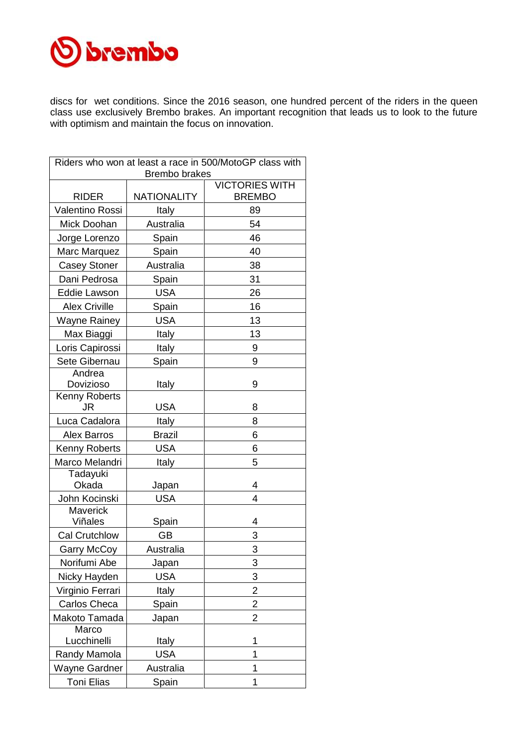

discs for wet conditions. Since the 2016 season, one hundred percent of the riders in the queen class use exclusively Brembo brakes. An important recognition that leads us to look to the future with optimism and maintain the focus on innovation.

| Riders who won at least a race in 500/MotoGP class with |                    |                                        |  |  |  |
|---------------------------------------------------------|--------------------|----------------------------------------|--|--|--|
| <b>Brembo brakes</b>                                    |                    |                                        |  |  |  |
| <b>RIDER</b>                                            | <b>NATIONALITY</b> | <b>VICTORIES WITH</b><br><b>BREMBO</b> |  |  |  |
| Valentino Rossi                                         | Italy              | 89                                     |  |  |  |
| Mick Doohan                                             | Australia          | 54                                     |  |  |  |
|                                                         |                    | 46                                     |  |  |  |
| Jorge Lorenzo                                           | Spain              | 40                                     |  |  |  |
| Marc Marquez                                            | Spain<br>Australia | 38                                     |  |  |  |
| <b>Casey Stoner</b><br>Dani Pedrosa                     |                    |                                        |  |  |  |
|                                                         | Spain              | 31                                     |  |  |  |
| Eddie Lawson                                            | <b>USA</b>         | 26                                     |  |  |  |
| <b>Alex Criville</b>                                    | Spain              | 16                                     |  |  |  |
| <b>Wayne Rainey</b>                                     | <b>USA</b>         | 13                                     |  |  |  |
| Max Biaggi                                              | Italy              | 13                                     |  |  |  |
| Loris Capirossi                                         | Italy              | 9                                      |  |  |  |
| Sete Gibernau                                           | Spain              | 9                                      |  |  |  |
| Andrea                                                  |                    |                                        |  |  |  |
| Dovizioso<br>Kenny Roberts                              | Italy              | 9                                      |  |  |  |
| JR                                                      | USA                | 8                                      |  |  |  |
| Luca Cadalora                                           | Italy              | 8                                      |  |  |  |
| <b>Alex Barros</b>                                      | <b>Brazil</b>      | 6                                      |  |  |  |
| <b>Kenny Roberts</b>                                    | <b>USA</b>         | 6                                      |  |  |  |
| Marco Melandri                                          | Italy              | 5                                      |  |  |  |
| Tadayuki                                                |                    |                                        |  |  |  |
| Okada                                                   | Japan              | 4                                      |  |  |  |
| John Kocinski                                           | <b>USA</b>         | 4                                      |  |  |  |
| Maverick                                                |                    |                                        |  |  |  |
| Viñales                                                 | Spain              | 4                                      |  |  |  |
| <b>Cal Crutchlow</b>                                    | GB                 | 3                                      |  |  |  |
| <b>Garry McCoy</b>                                      | Australia          | 3                                      |  |  |  |
| Norifumi Abe                                            | Japan              | 3                                      |  |  |  |
| Nicky Hayden                                            | <b>USA</b>         | 3                                      |  |  |  |
| Virginio Ferrari                                        | Italy              | $\overline{\mathbf{c}}$                |  |  |  |
| Carlos Checa                                            | Spain              | $\overline{c}$                         |  |  |  |
| Makoto Tamada                                           | Japan              | $\overline{2}$                         |  |  |  |
| Marco<br>Lucchinelli                                    | Italy              | 1                                      |  |  |  |
| Randy Mamola                                            | <b>USA</b>         | 1                                      |  |  |  |
| <b>Wayne Gardner</b>                                    | Australia          | 1                                      |  |  |  |
| <b>Toni Elias</b>                                       | Spain              | 1                                      |  |  |  |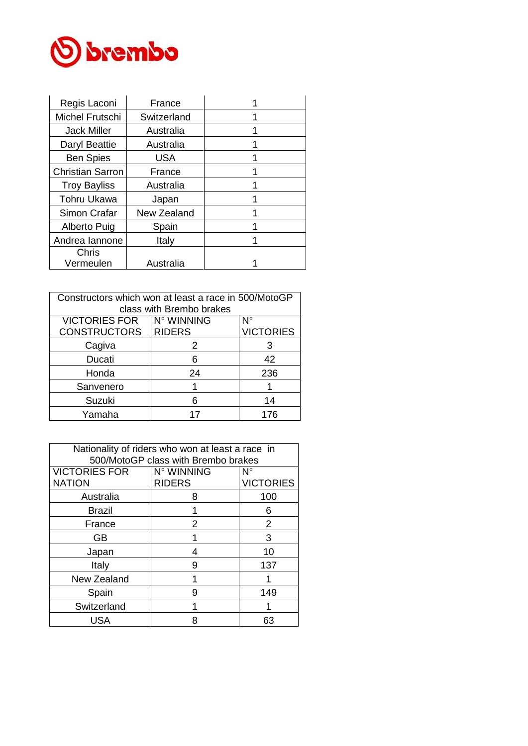

| Regis Laconi            | France      |  |
|-------------------------|-------------|--|
| Michel Frutschi         | Switzerland |  |
| <b>Jack Miller</b>      | Australia   |  |
| Daryl Beattie           | Australia   |  |
| <b>Ben Spies</b>        | <b>USA</b>  |  |
| <b>Christian Sarron</b> | France      |  |
| <b>Troy Bayliss</b>     | Australia   |  |
| <b>Tohru Ukawa</b>      | Japan       |  |
| Simon Crafar            | New Zealand |  |
| Alberto Puig            | Spain       |  |
| Andrea lannone          | Italy       |  |
| Chris                   |             |  |
| Vermeulen               | Australia   |  |

| Constructors which won at least a race in 500/MotoGP |               |                  |  |  |  |
|------------------------------------------------------|---------------|------------------|--|--|--|
| class with Brembo brakes                             |               |                  |  |  |  |
| <b>VICTORIES FOR</b>                                 | N° WINNING    | N°               |  |  |  |
| <b>CONSTRUCTORS</b>                                  | <b>RIDERS</b> | <b>VICTORIES</b> |  |  |  |
| Cagiva                                               | 2             | З                |  |  |  |
| Ducati                                               | ิค            | 42               |  |  |  |
| Honda                                                | 24            | 236              |  |  |  |
| Sanvenero                                            |               |                  |  |  |  |
| Suzuki                                               |               | 14               |  |  |  |
| Yamaha                                               |               | 176              |  |  |  |

| Nationality of riders who won at least a race in |               |                  |  |  |
|--------------------------------------------------|---------------|------------------|--|--|
| 500/MotoGP class with Brembo brakes              |               |                  |  |  |
| <b>VICTORIES FOR</b>                             | N° WINNING    | Ν°               |  |  |
| <b>NATION</b>                                    | <b>RIDERS</b> | <b>VICTORIES</b> |  |  |
| Australia                                        | 8             | 100              |  |  |
| <b>Brazil</b>                                    |               | 6                |  |  |
| France                                           | 2             | 2                |  |  |
| GВ                                               |               | 3                |  |  |
| Japan                                            | 4             | 10               |  |  |
| Italy                                            | 9             | 137              |  |  |
| New Zealand                                      |               |                  |  |  |
| Spain                                            | 9             | 149              |  |  |
| Switzerland                                      |               |                  |  |  |
| USA                                              | 8             | 63               |  |  |